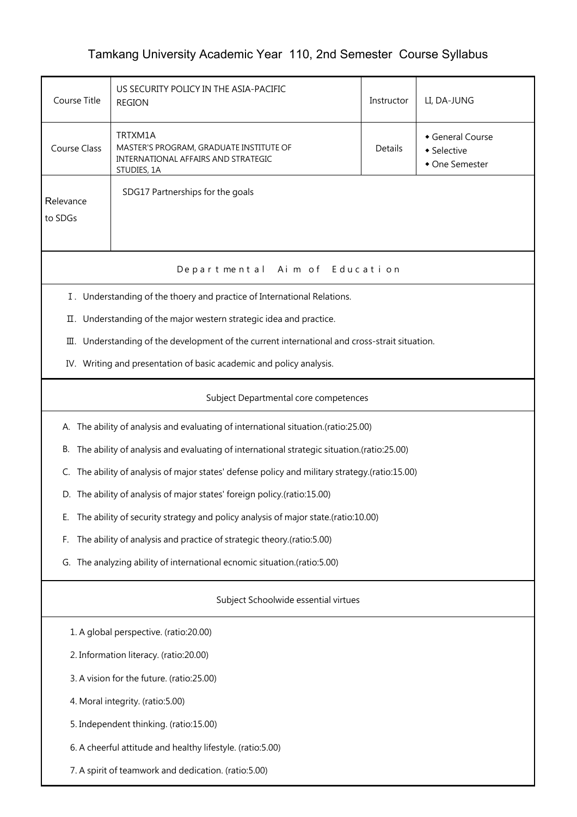## Tamkang University Academic Year 110, 2nd Semester Course Syllabus

| Course Title                                                                                    | US SECURITY POLICY IN THE ASIA-PACIFIC<br><b>REGION</b>                                                  |  | LI, DA-JUNG                                     |  |  |  |
|-------------------------------------------------------------------------------------------------|----------------------------------------------------------------------------------------------------------|--|-------------------------------------------------|--|--|--|
| <b>Course Class</b>                                                                             | TRTXM1A<br>MASTER'S PROGRAM, GRADUATE INSTITUTE OF<br>INTERNATIONAL AFFAIRS AND STRATEGIC<br>STUDIES, 1A |  | General Course<br>• Selective<br>• One Semester |  |  |  |
| Relevance<br>to SDGs                                                                            | SDG17 Partnerships for the goals                                                                         |  |                                                 |  |  |  |
| Aim of Education<br>Departmental                                                                |                                                                                                          |  |                                                 |  |  |  |
| I. Understanding of the thoery and practice of International Relations.                         |                                                                                                          |  |                                                 |  |  |  |
| П.                                                                                              | Understanding of the major western strategic idea and practice.                                          |  |                                                 |  |  |  |
| 皿.                                                                                              | Understanding of the development of the current international and cross-strait situation.                |  |                                                 |  |  |  |
|                                                                                                 | IV. Writing and presentation of basic academic and policy analysis.                                      |  |                                                 |  |  |  |
| Subject Departmental core competences                                                           |                                                                                                          |  |                                                 |  |  |  |
|                                                                                                 | A. The ability of analysis and evaluating of international situation.(ratio:25.00)                       |  |                                                 |  |  |  |
| The ability of analysis and evaluating of international strategic situation.(ratio:25.00)<br>В. |                                                                                                          |  |                                                 |  |  |  |
| C.                                                                                              | The ability of analysis of major states' defense policy and military strategy.(ratio:15.00)              |  |                                                 |  |  |  |
| D.                                                                                              | The ability of analysis of major states' foreign policy.(ratio:15.00)                                    |  |                                                 |  |  |  |
| Е.                                                                                              | The ability of security strategy and policy analysis of major state.(ratio:10.00)                        |  |                                                 |  |  |  |
| The ability of analysis and practice of strategic theory.(ratio:5.00)<br>F.                     |                                                                                                          |  |                                                 |  |  |  |
| G. The analyzing ability of international ecnomic situation.(ratio:5.00)                        |                                                                                                          |  |                                                 |  |  |  |
| Subject Schoolwide essential virtues                                                            |                                                                                                          |  |                                                 |  |  |  |
| 1. A global perspective. (ratio:20.00)                                                          |                                                                                                          |  |                                                 |  |  |  |
| 2. Information literacy. (ratio:20.00)                                                          |                                                                                                          |  |                                                 |  |  |  |
| 3. A vision for the future. (ratio:25.00)                                                       |                                                                                                          |  |                                                 |  |  |  |
| 4. Moral integrity. (ratio:5.00)                                                                |                                                                                                          |  |                                                 |  |  |  |
| 5. Independent thinking. (ratio:15.00)                                                          |                                                                                                          |  |                                                 |  |  |  |
| 6. A cheerful attitude and healthy lifestyle. (ratio:5.00)                                      |                                                                                                          |  |                                                 |  |  |  |
|                                                                                                 | 7. A spirit of teamwork and dedication. (ratio:5.00)                                                     |  |                                                 |  |  |  |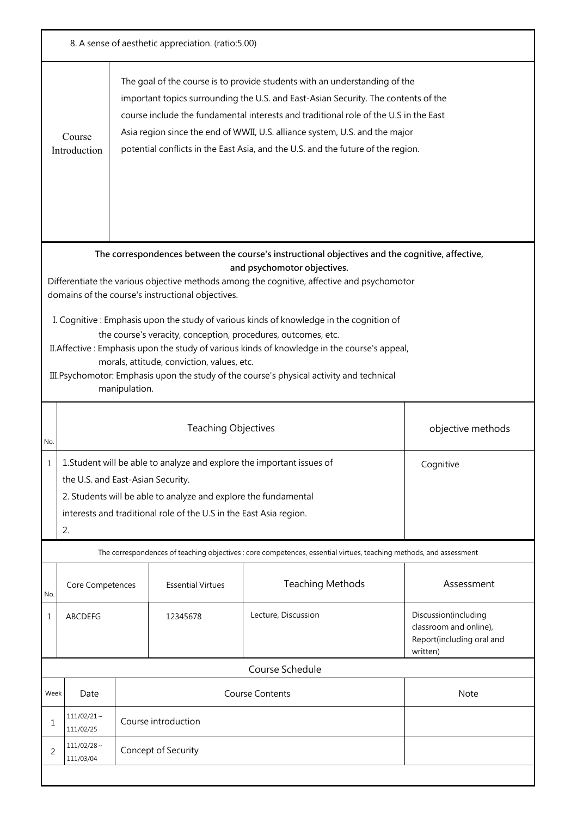| 8. A sense of aesthetic appreciation. (ratio:5.00) |                                                                                                                                                                                                                                                                                                                                                                                                                                                       |               |                                                                        |                                                                                                                    |                                                                             |  |
|----------------------------------------------------|-------------------------------------------------------------------------------------------------------------------------------------------------------------------------------------------------------------------------------------------------------------------------------------------------------------------------------------------------------------------------------------------------------------------------------------------------------|---------------|------------------------------------------------------------------------|--------------------------------------------------------------------------------------------------------------------|-----------------------------------------------------------------------------|--|
|                                                    | The goal of the course is to provide students with an understanding of the<br>important topics surrounding the U.S. and East-Asian Security. The contents of the<br>course include the fundamental interests and traditional role of the U.S in the East<br>Asia region since the end of WWII, U.S. alliance system, U.S. and the major<br>Course<br>potential conflicts in the East Asia, and the U.S. and the future of the region.<br>Introduction |               |                                                                        |                                                                                                                    |                                                                             |  |
|                                                    |                                                                                                                                                                                                                                                                                                                                                                                                                                                       |               |                                                                        | The correspondences between the course's instructional objectives and the cognitive, affective,                    |                                                                             |  |
|                                                    |                                                                                                                                                                                                                                                                                                                                                                                                                                                       |               |                                                                        | and psychomotor objectives.                                                                                        |                                                                             |  |
|                                                    |                                                                                                                                                                                                                                                                                                                                                                                                                                                       |               |                                                                        | Differentiate the various objective methods among the cognitive, affective and psychomotor                         |                                                                             |  |
|                                                    |                                                                                                                                                                                                                                                                                                                                                                                                                                                       |               | domains of the course's instructional objectives.                      |                                                                                                                    |                                                                             |  |
|                                                    |                                                                                                                                                                                                                                                                                                                                                                                                                                                       |               |                                                                        | I. Cognitive: Emphasis upon the study of various kinds of knowledge in the cognition of                            |                                                                             |  |
|                                                    |                                                                                                                                                                                                                                                                                                                                                                                                                                                       |               |                                                                        | the course's veracity, conception, procedures, outcomes, etc.                                                      |                                                                             |  |
|                                                    |                                                                                                                                                                                                                                                                                                                                                                                                                                                       |               | morals, attitude, conviction, values, etc.                             | II. Affective: Emphasis upon the study of various kinds of knowledge in the course's appeal,                       |                                                                             |  |
|                                                    |                                                                                                                                                                                                                                                                                                                                                                                                                                                       |               |                                                                        | III. Psychomotor: Emphasis upon the study of the course's physical activity and technical                          |                                                                             |  |
|                                                    |                                                                                                                                                                                                                                                                                                                                                                                                                                                       | manipulation. |                                                                        |                                                                                                                    |                                                                             |  |
| No.                                                |                                                                                                                                                                                                                                                                                                                                                                                                                                                       |               | <b>Teaching Objectives</b>                                             |                                                                                                                    | objective methods                                                           |  |
|                                                    |                                                                                                                                                                                                                                                                                                                                                                                                                                                       |               | 1. Student will be able to analyze and explore the important issues of |                                                                                                                    | Cognitive                                                                   |  |
|                                                    | the U.S. and East-Asian Security.                                                                                                                                                                                                                                                                                                                                                                                                                     |               |                                                                        |                                                                                                                    |                                                                             |  |
|                                                    |                                                                                                                                                                                                                                                                                                                                                                                                                                                       |               | 2. Students will be able to analyze and explore the fundamental        |                                                                                                                    |                                                                             |  |
|                                                    |                                                                                                                                                                                                                                                                                                                                                                                                                                                       |               | interests and traditional role of the U.S in the East Asia region.     |                                                                                                                    |                                                                             |  |
|                                                    | 2.                                                                                                                                                                                                                                                                                                                                                                                                                                                    |               |                                                                        |                                                                                                                    |                                                                             |  |
|                                                    |                                                                                                                                                                                                                                                                                                                                                                                                                                                       |               |                                                                        | The correspondences of teaching objectives : core competences, essential virtues, teaching methods, and assessment |                                                                             |  |
| No.                                                | Core Competences                                                                                                                                                                                                                                                                                                                                                                                                                                      |               | <b>Essential Virtues</b>                                               | <b>Teaching Methods</b>                                                                                            | Assessment                                                                  |  |
| 1                                                  | ABCDEFG                                                                                                                                                                                                                                                                                                                                                                                                                                               |               | 12345678                                                               | Lecture, Discussion                                                                                                | Discussion(including<br>classroom and online),<br>Report(including oral and |  |
|                                                    |                                                                                                                                                                                                                                                                                                                                                                                                                                                       |               |                                                                        |                                                                                                                    | written)                                                                    |  |
|                                                    | Course Schedule                                                                                                                                                                                                                                                                                                                                                                                                                                       |               |                                                                        |                                                                                                                    |                                                                             |  |
| Week                                               | Date                                                                                                                                                                                                                                                                                                                                                                                                                                                  |               |                                                                        | <b>Course Contents</b>                                                                                             | Note                                                                        |  |
| 1                                                  | $111/02/21 \sim$<br>Course introduction<br>111/02/25                                                                                                                                                                                                                                                                                                                                                                                                  |               |                                                                        |                                                                                                                    |                                                                             |  |
| 2                                                  | $111/02/28 \sim$<br>Concept of Security<br>111/03/04                                                                                                                                                                                                                                                                                                                                                                                                  |               |                                                                        |                                                                                                                    |                                                                             |  |
|                                                    |                                                                                                                                                                                                                                                                                                                                                                                                                                                       |               |                                                                        |                                                                                                                    |                                                                             |  |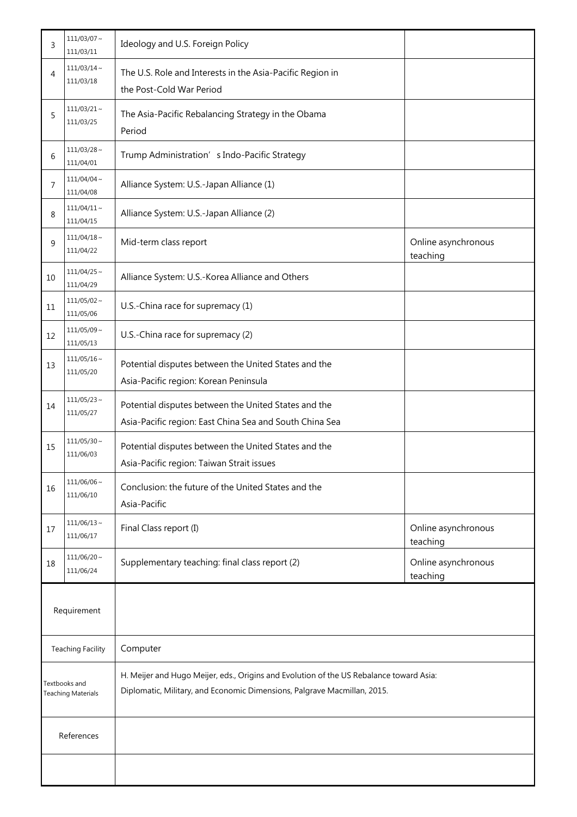| 3                                          | $111/03/07$ ~<br>111/03/11    | Ideology and U.S. Foreign Policy                                                                                                                                    |                                 |
|--------------------------------------------|-------------------------------|---------------------------------------------------------------------------------------------------------------------------------------------------------------------|---------------------------------|
| 4                                          | $111/03/14$ ~<br>111/03/18    | The U.S. Role and Interests in the Asia-Pacific Region in<br>the Post-Cold War Period                                                                               |                                 |
| 5                                          | $111/03/21$ ~<br>111/03/25    | The Asia-Pacific Rebalancing Strategy in the Obama<br>Period                                                                                                        |                                 |
| 6                                          | $111/03/28$ ~<br>111/04/01    | Trump Administration' s Indo-Pacific Strategy                                                                                                                       |                                 |
| $\overline{7}$                             | $111/04/04 \sim$<br>111/04/08 | Alliance System: U.S.-Japan Alliance (1)                                                                                                                            |                                 |
| 8                                          | $111/04/11 \sim$<br>111/04/15 | Alliance System: U.S.-Japan Alliance (2)                                                                                                                            |                                 |
| 9                                          | $111/04/18$ ~<br>111/04/22    | Mid-term class report                                                                                                                                               | Online asynchronous<br>teaching |
| 10                                         | $111/04/25$ ~<br>111/04/29    | Alliance System: U.S.-Korea Alliance and Others                                                                                                                     |                                 |
| 11                                         | $111/05/02$ ~<br>111/05/06    | U.S.-China race for supremacy (1)                                                                                                                                   |                                 |
| 12                                         | $111/05/09$ ~<br>111/05/13    | U.S.-China race for supremacy (2)                                                                                                                                   |                                 |
| 13                                         | $111/05/16$ ~<br>111/05/20    | Potential disputes between the United States and the<br>Asia-Pacific region: Korean Peninsula                                                                       |                                 |
| 14                                         | $111/05/23$ ~<br>111/05/27    | Potential disputes between the United States and the<br>Asia-Pacific region: East China Sea and South China Sea                                                     |                                 |
| 15                                         | $111/05/30$ ~<br>111/06/03    | Potential disputes between the United States and the<br>Asia-Pacific region: Taiwan Strait issues                                                                   |                                 |
| 16                                         | $111/06/06$ ~<br>111/06/10    | Conclusion: the future of the United States and the<br>Asia-Pacific                                                                                                 |                                 |
| 17                                         | $111/06/13 \sim$<br>111/06/17 | Final Class report (I)                                                                                                                                              | Online asynchronous<br>teaching |
| 18                                         | $111/06/20$ ~<br>111/06/24    | Supplementary teaching: final class report (2)                                                                                                                      | Online asynchronous<br>teaching |
|                                            | Requirement                   |                                                                                                                                                                     |                                 |
| <b>Teaching Facility</b>                   |                               | Computer                                                                                                                                                            |                                 |
| Textbooks and<br><b>Teaching Materials</b> |                               | H. Meijer and Hugo Meijer, eds., Origins and Evolution of the US Rebalance toward Asia:<br>Diplomatic, Military, and Economic Dimensions, Palgrave Macmillan, 2015. |                                 |
| References                                 |                               |                                                                                                                                                                     |                                 |
|                                            |                               |                                                                                                                                                                     |                                 |